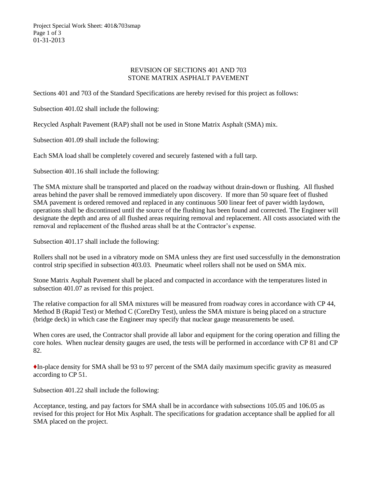Project Special Work Sheet: 401&703smap Page 1 of 3 01-31-2013

## REVISION OF SECTIONS 401 AND 703 STONE MATRIX ASPHALT PAVEMENT

Sections 401 and 703 of the Standard Specifications are hereby revised for this project as follows:

Subsection 401.02 shall include the following:

Recycled Asphalt Pavement (RAP) shall not be used in Stone Matrix Asphalt (SMA) mix.

Subsection 401.09 shall include the following:

Each SMA load shall be completely covered and securely fastened with a full tarp.

Subsection 401.16 shall include the following:

The SMA mixture shall be transported and placed on the roadway without drain-down or flushing. All flushed areas behind the paver shall be removed immediately upon discovery. If more than 50 square feet of flushed SMA pavement is ordered removed and replaced in any continuous 500 linear feet of paver width laydown, operations shall be discontinued until the source of the flushing has been found and corrected. The Engineer will designate the depth and area of all flushed areas requiring removal and replacement. All costs associated with the removal and replacement of the flushed areas shall be at the Contractor's expense.

Subsection 401.17 shall include the following:

Rollers shall not be used in a vibratory mode on SMA unless they are first used successfully in the demonstration control strip specified in subsection 403.03. Pneumatic wheel rollers shall not be used on SMA mix.

Stone Matrix Asphalt Pavement shall be placed and compacted in accordance with the temperatures listed in subsection 401.07 as revised for this project.

The relative compaction for all SMA mixtures will be measured from roadway cores in accordance with CP 44, Method B (Rapid Test) or Method C (CoreDry Test), unless the SMA mixture is being placed on a structure (bridge deck) in which case the Engineer may specify that nuclear gauge measurements be used.

When cores are used, the Contractor shall provide all labor and equipment for the coring operation and filling the core holes. When nuclear density gauges are used, the tests will be performed in accordance with CP 81 and CP 82.

♦In-place density for SMA shall be 93 to 97 percent of the SMA daily maximum specific gravity as measured according to CP 51.

Subsection 401.22 shall include the following:

Acceptance, testing, and pay factors for SMA shall be in accordance with subsections 105.05 and 106.05 as revised for this project for Hot Mix Asphalt. The specifications for gradation acceptance shall be applied for all SMA placed on the project.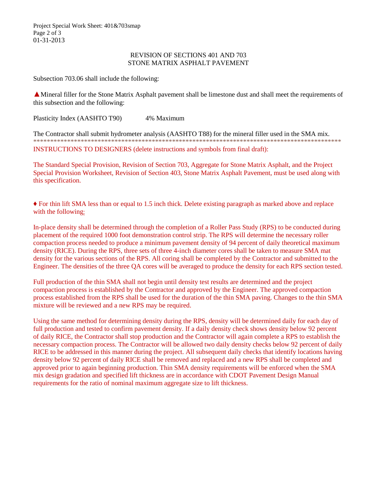## REVISION OF SECTIONS 401 AND 703 STONE MATRIX ASPHALT PAVEMENT

Subsection 703.06 shall include the following:

▲Mineral filler for the Stone Matrix Asphalt pavement shall be limestone dust and shall meet the requirements of this subsection and the following:

Plasticity Index (AASHTO T90) 4% Maximum

The Contractor shall submit hydrometer analysis (AASHTO T88) for the mineral filler used in the SMA mix. \*\*\*\*\*\*\*\*\*\*\*\*\*\*\*\*\*\*\*\*\*\*\*\*\*\*\*\*\*\*\*\*\*\*\*\*\*\*\*\*\*\*\*\*\*\*\*\*\*\*\*\*\*\*\*\*\*\*\*\*\*\*\*\*\*\*\*\*\*\*\*\*\*\*\*\*\*\*\*\*\*\*\*\*\*\*\*\*\*\*\*

INSTRUCTIONS TO DESIGNERS (delete instructions and symbols from final draft):

The Standard Special Provision, Revision of Section 703, Aggregate for Stone Matrix Asphalt, and the Project Special Provision Worksheet, Revision of Section 403, Stone Matrix Asphalt Pavement, must be used along with this specification.

♦ For thin lift SMA less than or equal to 1.5 inch thick. Delete existing paragraph as marked above and replace with the following:

In-place density shall be determined through the completion of a Roller Pass Study (RPS) to be conducted during placement of the required 1000 foot demonstration control strip. The RPS will determine the necessary roller compaction process needed to produce a minimum pavement density of 94 percent of daily theoretical maximum density (RICE). During the RPS, three sets of three 4-inch diameter cores shall be taken to measure SMA mat density for the various sections of the RPS. All coring shall be completed by the Contractor and submitted to the Engineer. The densities of the three QA cores will be averaged to produce the density for each RPS section tested.

Full production of the thin SMA shall not begin until density test results are determined and the project compaction process is established by the Contractor and approved by the Engineer. The approved compaction process established from the RPS shall be used for the duration of the thin SMA paving. Changes to the thin SMA mixture will be reviewed and a new RPS may be required.

Using the same method for determining density during the RPS, density will be determined daily for each day of full production and tested to confirm pavement density. If a daily density check shows density below 92 percent of daily RICE, the Contractor shall stop production and the Contractor will again complete a RPS to establish the necessary compaction process. The Contractor will be allowed two daily density checks below 92 percent of daily RICE to be addressed in this manner during the project. All subsequent daily checks that identify locations having density below 92 percent of daily RICE shall be removed and replaced and a new RPS shall be completed and approved prior to again beginning production. Thin SMA density requirements will be enforced when the SMA mix design gradation and specified lift thickness are in accordance with CDOT Pavement Design Manual requirements for the ratio of nominal maximum aggregate size to lift thickness.